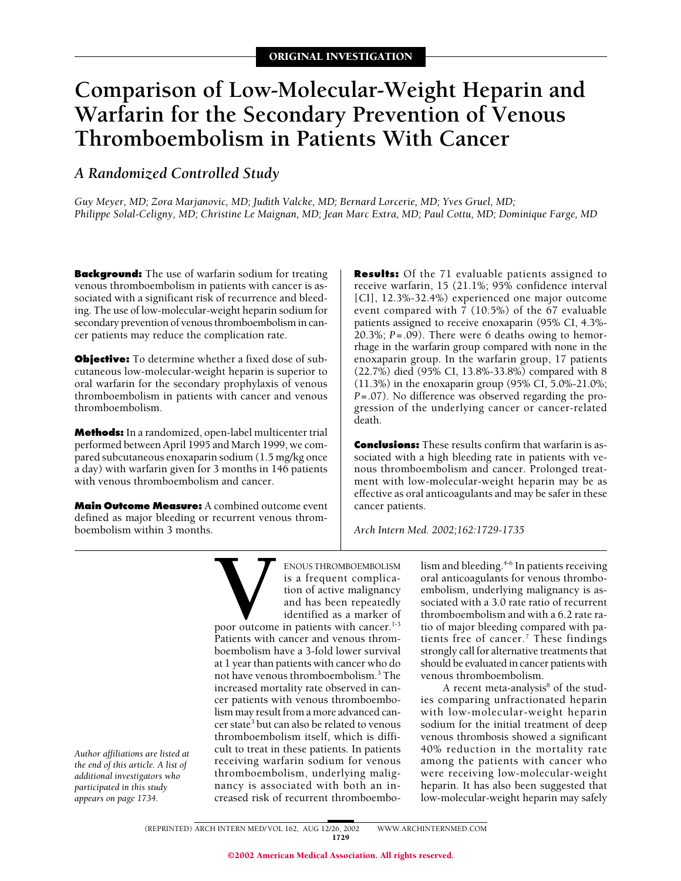# **Comparison of Low-Molecular-Weight Heparin and Warfarin for the Secondary Prevention of Venous Thromboembolism in Patients With Cancer**

# *A Randomized Controlled Study*

*Guy Meyer, MD; Zora Marjanovic, MD; Judith Valcke, MD; Bernard Lorcerie, MD; Yves Gruel, MD; Philippe Solal-Celigny, MD; Christine Le Maignan, MD; Jean Marc Extra, MD; Paul Cottu, MD; Dominique Farge, MD*

**Background:** The use of warfarin sodium for treating venous thromboembolism in patients with cancer is associated with a significant risk of recurrence and bleeding. The use of low-molecular-weight heparin sodium for secondary prevention of venous thromboembolism in cancer patients may reduce the complication rate.

**Objective:** To determine whether a fixed dose of subcutaneous low-molecular-weight heparin is superior to oral warfarin for the secondary prophylaxis of venous thromboembolism in patients with cancer and venous thromboembolism.

**Methods:** In a randomized, open-label multicenter trial performed between April 1995 and March 1999, we compared subcutaneous enoxaparin sodium (1.5 mg/kg once a day) with warfarin given for 3 months in 146 patients with venous thromboembolism and cancer.

**Main Outcome Measure:** A combined outcome event defined as major bleeding or recurrent venous thromboembolism within 3 months.

**Results:** Of the 71 evaluable patients assigned to receive warfarin, 15 (21.1%; 95% confidence interval [CI], 12.3%-32.4%) experienced one major outcome event compared with 7 (10.5%) of the 67 evaluable patients assigned to receive enoxaparin (95% CI, 4.3%- 20.3%; *P*=.09). There were 6 deaths owing to hemorrhage in the warfarin group compared with none in the enoxaparin group. In the warfarin group, 17 patients (22.7%) died (95% CI, 13.8%-33.8%) compared with 8 (11.3%) in the enoxaparin group (95% CI, 5.0%-21.0%; *P*=.07). No difference was observed regarding the progression of the underlying cancer or cancer-related death.

**Conclusions:** These results confirm that warfarin is associated with a high bleeding rate in patients with venous thromboembolism and cancer. Prolonged treatment with low-molecular-weight heparin may be as effective as oral anticoagulants and may be safer in these cancer patients.

*Arch Intern Med. 2002;162:1729-1735*

*Author affiliations are listed at the end of this article. A list of additional investigators who participated in this study appears on page 1734.*

ENOUS THROMBOEMBOLISM<br>
is a frequent complica-<br>
tion of active malignancy<br>
and has been repeatedly<br>
identified as a marker of<br>
Patients with cancer and venous thromis a frequent complication of active malignancy and has been repeatedly identified as a marker of

poor outcome in patients with cancer.<sup>1-3</sup> Patients with cancer and venous thromboembolism have a 3-fold lower survival at 1 year than patients with cancer who do not have venous thromboembolism.3 The increased mortality rate observed in cancer patients with venous thromboembolism may result from a more advanced cancer state3 but can also be related to venous thromboembolism itself, which is difficult to treat in these patients. In patients receiving warfarin sodium for venous thromboembolism, underlying malignancy is associated with both an increased risk of recurrent thromboembolism and bleeding. $4-6$  In patients receiving oral anticoagulants for venous thromboembolism, underlying malignancy is associated with a 3.0 rate ratio of recurrent thromboembolism and with a 6.2 rate ratio of major bleeding compared with patients free of cancer.<sup>7</sup> These findings strongly call for alternative treatments that should be evaluated in cancer patients with venous thromboembolism.

A recent meta-analysis<sup>8</sup> of the studies comparing unfractionated heparin with low-molecular-weight heparin sodium for the initial treatment of deep venous thrombosis showed a significant 40% reduction in the mortality rate among the patients with cancer who were receiving low-molecular-weight heparin. It has also been suggested that low-molecular-weight heparin may safely

(REPRINTED) ARCH INTERN MED/ VOL 162, AUG 12/26, 2002 WWW.ARCHINTERNMED.COM 1729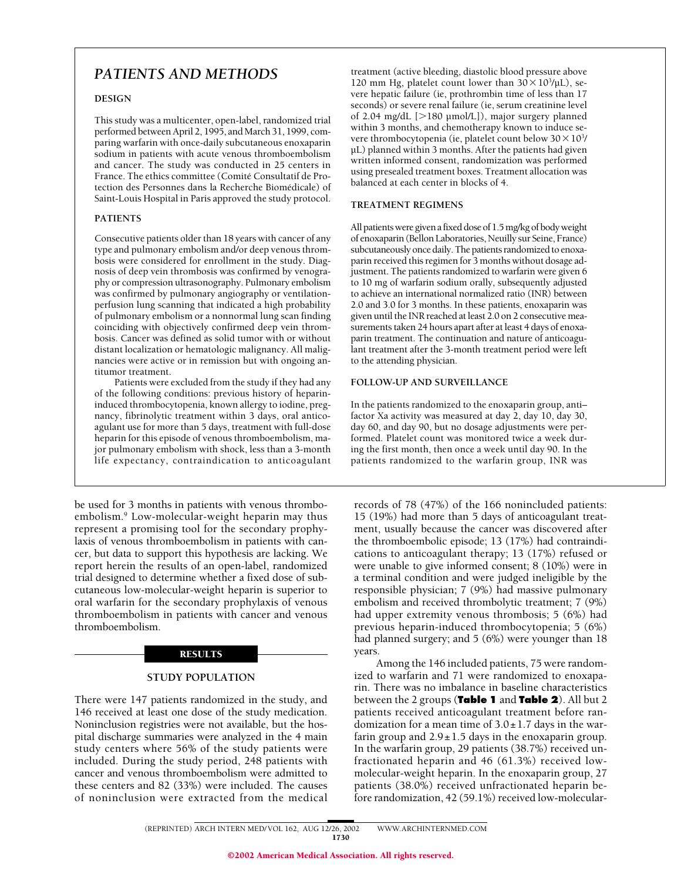# *PATIENTS AND METHODS*

#### **DESIGN**

This study was a multicenter, open-label, randomized trial performed between April 2, 1995, and March 31, 1999, comparing warfarin with once-daily subcutaneous enoxaparin sodium in patients with acute venous thromboembolism and cancer. The study was conducted in 25 centers in France. The ethics committee (Comité Consultatif de Protection des Personnes dans la Recherche Biomédicale) of Saint-Louis Hospital in Paris approved the study protocol.

# **PATIENTS**

Consecutive patients older than 18 years with cancer of any type and pulmonary embolism and/or deep venous thrombosis were considered for enrollment in the study. Diagnosis of deep vein thrombosis was confirmed by venography or compression ultrasonography. Pulmonary embolism was confirmed by pulmonary angiography or ventilationperfusion lung scanning that indicated a high probability of pulmonary embolism or a nonnormal lung scan finding coinciding with objectively confirmed deep vein thrombosis. Cancer was defined as solid tumor with or without distant localization or hematologic malignancy. All malignancies were active or in remission but with ongoing antitumor treatment.

Patients were excluded from the study if they had any of the following conditions: previous history of heparininduced thrombocytopenia, known allergy to iodine, pregnancy, fibrinolytic treatment within 3 days, oral anticoagulant use for more than 5 days, treatment with full-dose heparin for this episode of venous thromboembolism, major pulmonary embolism with shock, less than a 3-month life expectancy, contraindication to anticoagulant

be used for 3 months in patients with venous thromboembolism.9 Low-molecular-weight heparin may thus represent a promising tool for the secondary prophylaxis of venous thromboembolism in patients with cancer, but data to support this hypothesis are lacking. We report herein the results of an open-label, randomized trial designed to determine whether a fixed dose of subcutaneous low-molecular-weight heparin is superior to oral warfarin for the secondary prophylaxis of venous thromboembolism in patients with cancer and venous thromboembolism.

#### **RESULTS**

### **STUDY POPULATION**

There were 147 patients randomized in the study, and 146 received at least one dose of the study medication. Noninclusion registries were not available, but the hospital discharge summaries were analyzed in the 4 main study centers where 56% of the study patients were included. During the study period, 248 patients with cancer and venous thromboembolism were admitted to these centers and 82 (33%) were included. The causes of noninclusion were extracted from the medical

treatment (active bleeding, diastolic blood pressure above 120 mm Hg, platelet count lower than  $30 \times 10^3/\mu$ L), severe hepatic failure (ie, prothrombin time of less than 17 seconds) or severe renal failure (ie, serum creatinine level of 2.04 mg/dL [>180 µmol/L]), major surgery planned within 3 months, and chemotherapy known to induce severe thrombocytopenia (ie, platelet count below  $30\times10^{3}\prime$ µL) planned within 3 months. After the patients had given written informed consent, randomization was performed using presealed treatment boxes. Treatment allocation was balanced at each center in blocks of 4.

#### **TREATMENT REGIMENS**

All patients were given a fixed dose of 1.5 mg/kg of body weight of enoxaparin (Bellon Laboratories, Neuilly sur Seine, France) subcutaneously once daily. The patients randomized to enoxaparin received this regimen for 3 months without dosage adjustment. The patients randomized to warfarin were given 6 to 10 mg of warfarin sodium orally, subsequently adjusted to achieve an international normalized ratio (INR) between 2.0 and 3.0 for 3 months. In these patients, enoxaparin was given until the INR reached at least 2.0 on 2 consecutive measurements taken 24 hours apart after at least 4 days of enoxaparin treatment. The continuation and nature of anticoagulant treatment after the 3-month treatment period were left to the attending physician.

#### **FOLLOW-UP AND SURVEILLANCE**

In the patients randomized to the enoxaparin group, anti– factor Xa activity was measured at day 2, day 10, day 30, day 60, and day 90, but no dosage adjustments were performed. Platelet count was monitored twice a week during the first month, then once a week until day 90. In the patients randomized to the warfarin group, INR was

records of 78 (47%) of the 166 nonincluded patients: 15 (19%) had more than 5 days of anticoagulant treatment, usually because the cancer was discovered after the thromboembolic episode; 13 (17%) had contraindications to anticoagulant therapy; 13 (17%) refused or were unable to give informed consent; 8 (10%) were in a terminal condition and were judged ineligible by the responsible physician; 7 (9%) had massive pulmonary embolism and received thrombolytic treatment; 7 (9%) had upper extremity venous thrombosis; 5 (6%) had previous heparin-induced thrombocytopenia; 5 (6%) had planned surgery; and 5 (6%) were younger than 18 years.

Among the 146 included patients, 75 were randomized to warfarin and 71 were randomized to enoxaparin. There was no imbalance in baseline characteristics between the 2 groups (**Table 1** and **Table 2**). All but 2 patients received anticoagulant treatment before randomization for a mean time of  $3.0 \pm 1.7$  days in the warfarin group and  $2.9 \pm 1.5$  days in the enoxaparin group. In the warfarin group, 29 patients (38.7%) received unfractionated heparin and 46 (61.3%) received lowmolecular-weight heparin. In the enoxaparin group, 27 patients (38.0%) received unfractionated heparin before randomization, 42 (59.1%) received low-molecular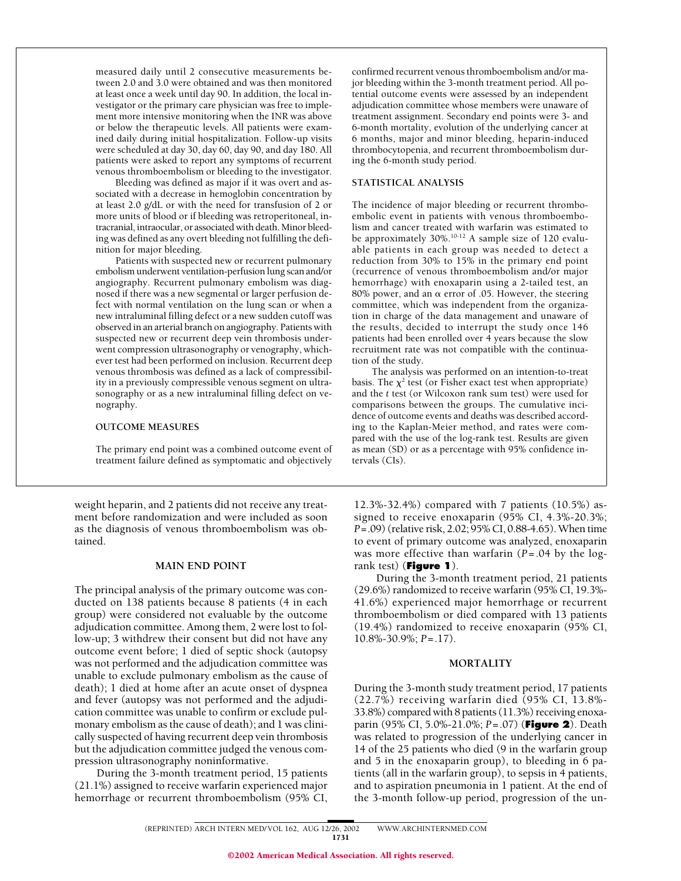measured daily until 2 consecutive measurements between 2.0 and 3.0 were obtained and was then monitored at least once a week until day 90. In addition, the local investigator or the primary care physician was free to implement more intensive monitoring when the INR was above or below the therapeutic levels. All patients were examined daily during initial hospitalization. Follow-up visits were scheduled at day 30, day 60, day 90, and day 180. All patients were asked to report any symptoms of recurrent venous thromboembolism or bleeding to the investigator.

Bleeding was defined as major if it was overt and associated with a decrease in hemoglobin concentration by at least 2.0 g/dL or with the need for transfusion of 2 or more units of blood or if bleeding was retroperitoneal, intracranial, intraocular, or associated with death. Minor bleeding was defined as any overt bleeding not fulfilling the definition for major bleeding.

Patients with suspected new or recurrent pulmonary embolism underwent ventilation-perfusion lung scan and/or angiography. Recurrent pulmonary embolism was diagnosed if there was a new segmental or larger perfusion defect with normal ventilation on the lung scan or when a new intraluminal filling defect or a new sudden cutoff was observed in an arterial branch on angiography. Patients with suspected new or recurrent deep vein thrombosis underwent compression ultrasonography or venography, whichever test had been performed on inclusion. Recurrent deep venous thrombosis was defined as a lack of compressibility in a previously compressible venous segment on ultrasonography or as a new intraluminal filling defect on venography.

# **OUTCOME MEASURES**

The primary end point was a combined outcome event of treatment failure defined as symptomatic and objectively

weight heparin, and 2 patients did not receive any treatment before randomization and were included as soon as the diagnosis of venous thromboembolism was obtained.

#### **MAIN END POINT**

The principal analysis of the primary outcome was conducted on 138 patients because 8 patients (4 in each group) were considered not evaluable by the outcome adjudication committee. Among them, 2 were lost to follow-up; 3 withdrew their consent but did not have any outcome event before; 1 died of septic shock (autopsy was not performed and the adjudication committee was unable to exclude pulmonary embolism as the cause of death); 1 died at home after an acute onset of dyspnea and fever (autopsy was not performed and the adjudication committee was unable to confirm or exclude pulmonary embolism as the cause of death); and 1 was clinically suspected of having recurrent deep vein thrombosis but the adjudication committee judged the venous compression ultrasonography noninformative.

During the 3-month treatment period, 15 patients (21.1%) assigned to receive warfarin experienced major hemorrhage or recurrent thromboembolism (95% CI, confirmed recurrent venous thromboembolism and/or major bleeding within the 3-month treatment period. All potential outcome events were assessed by an independent adjudication committee whose members were unaware of treatment assignment. Secondary end points were 3- and 6-month mortality, evolution of the underlying cancer at 6 months, major and minor bleeding, heparin-induced thrombocytopenia, and recurrent thromboembolism during the 6-month study period.

# **STATISTICAL ANALYSIS**

The incidence of major bleeding or recurrent thromboembolic event in patients with venous thromboembolism and cancer treated with warfarin was estimated to be approximately 30%.10-12 A sample size of 120 evaluable patients in each group was needed to detect a reduction from 30% to 15% in the primary end point (recurrence of venous thromboembolism and/or major hemorrhage) with enoxaparin using a 2-tailed test, an 80% power, and an  $\alpha$  error of .05. However, the steering committee, which was independent from the organization in charge of the data management and unaware of the results, decided to interrupt the study once 146 patients had been enrolled over 4 years because the slow recruitment rate was not compatible with the continuation of the study.

The analysis was performed on an intention-to-treat basis. The  $\chi^2$  test (or Fisher exact test when appropriate) and the *t* test (or Wilcoxon rank sum test) were used for comparisons between the groups. The cumulative incidence of outcome events and deaths was described according to the Kaplan-Meier method, and rates were compared with the use of the log-rank test. Results are given as mean (SD) or as a percentage with 95% confidence intervals (CIs).

12.3%-32.4%) compared with 7 patients (10.5%) assigned to receive enoxaparin (95% CI, 4.3%-20.3%; *P*=.09) (relative risk, 2.02; 95% CI, 0.88-4.65). When time to event of primary outcome was analyzed, enoxaparin was more effective than warfarin (*P*=.04 by the logrank test) (**Figure 1**).

During the 3-month treatment period, 21 patients (29.6%) randomized to receive warfarin (95% CI, 19.3%- 41.6%) experienced major hemorrhage or recurrent thromboembolism or died compared with 13 patients (19.4%) randomized to receive enoxaparin (95% CI, 10.8%-30.9%; *P*=.17).

#### **MORTALITY**

During the 3-month study treatment period, 17 patients (22.7%) receiving warfarin died (95% CI, 13.8%- 33.8%) compared with 8 patients (11.3%) receiving enoxaparin (95% CI, 5.0%-21.0%; *P*=.07) (**Figure 2**). Death was related to progression of the underlying cancer in 14 of the 25 patients who died (9 in the warfarin group and 5 in the enoxaparin group), to bleeding in 6 patients (all in the warfarin group), to sepsis in 4 patients, and to aspiration pneumonia in 1 patient. At the end of the 3-month follow-up period, progression of the un-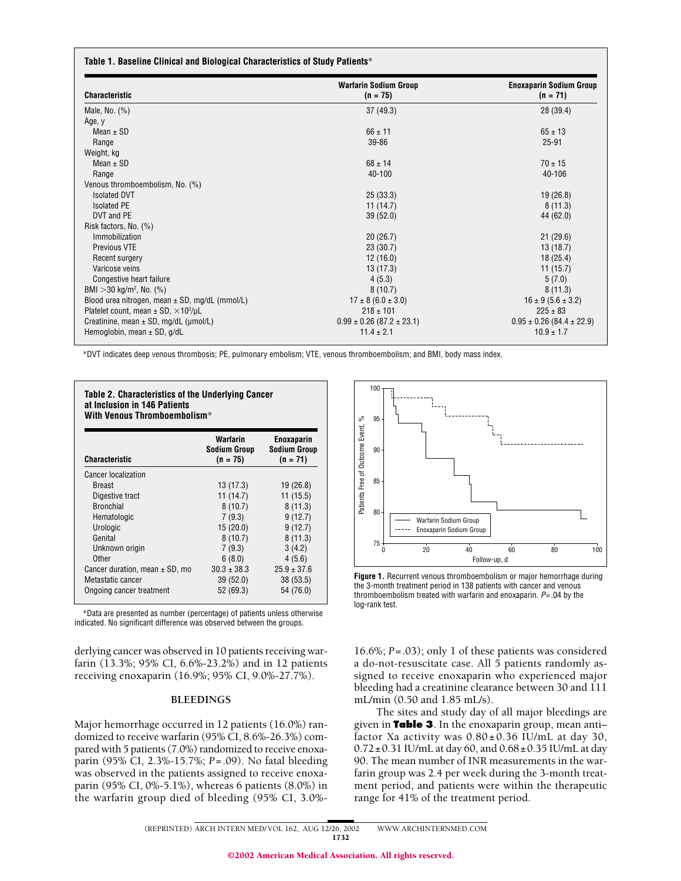| <b>Characteristic</b>                                       | <b>Warfarin Sodium Group</b><br>$(n = 75)$ | <b>Enoxaparin Sodium Group</b><br>$(n = 71)$ |
|-------------------------------------------------------------|--------------------------------------------|----------------------------------------------|
| Male, No. $(\%)$                                            | 37(49.3)                                   | 28 (39.4)                                    |
| Age, y                                                      |                                            |                                              |
| Mean $\pm$ SD                                               | $66 \pm 11$                                | $65 \pm 13$                                  |
| Range                                                       | 39-86                                      | $25 - 91$                                    |
| Weight, kg                                                  |                                            |                                              |
| Mean $\pm$ SD                                               | $68 \pm 14$                                | $70 \pm 15$                                  |
| Range                                                       | 40-100                                     | 40-106                                       |
| Venous thromboembolism, No. (%)                             |                                            |                                              |
| <b>Isolated DVT</b>                                         | 25(33.3)                                   | 19(26.8)                                     |
| <b>Isolated PE</b>                                          | 11(14.7)                                   | 8(11.3)                                      |
| DVT and PE                                                  | 39(52.0)                                   | 44 (62.0)                                    |
| Risk factors, No. (%)                                       |                                            |                                              |
| Immobilization                                              | 20(26.7)                                   | 21(29.6)                                     |
| <b>Previous VTE</b>                                         | 23 (30.7)                                  | 13(18.7)                                     |
| Recent surgery                                              | 12(16.0)                                   | 18(25.4)                                     |
| Varicose veins                                              | 13(17.3)                                   | 11(15.7)                                     |
| Congestive heart failure                                    | 4(5.3)                                     | 5(7.0)                                       |
| BMI $>$ 30 kg/m <sup>2</sup> , No. (%)                      | 8(10.7)                                    | 8(11.3)                                      |
| Blood urea nitrogen, mean ± SD, mg/dL (mmol/L)              | $17 \pm 8 (6.0 \pm 3.0)$                   | $16 \pm 9 (5.6 \pm 3.2)$                     |
| Platelet count, mean $\pm$ SD, $\times$ 10 <sup>3</sup> /µL | $218 \pm 101$                              | $225 \pm 83$                                 |
| Creatinine, mean $\pm$ SD, mg/dL ( $\mu$ mol/L)             | $0.99 \pm 0.26$ (87.2 $\pm$ 23.1)          | $0.95 \pm 0.26$ (84.4 $\pm$ 22.9)            |
| Hemoglobin, mean $\pm$ SD, g/dL                             | $11.4 \pm 2.1$                             | $10.9 \pm 1.7$                               |

\*DVT indicates deep venous thrombosis; PE, pulmonary embolism; VTE, venous thromboembolism; and BMI, body mass index.

| <b>Characteristic</b>              | <b>Warfarin</b><br>Sodium Group<br>$(n = 75)$ | Enoxaparin<br>Sodium Group<br>$(n = 71)$ |
|------------------------------------|-----------------------------------------------|------------------------------------------|
| <b>Cancer localization</b>         |                                               |                                          |
| <b>Breast</b>                      | 13(17.3)                                      | 19 (26.8)                                |
| Digestive tract                    | 11(14.7)                                      | 11(15.5)                                 |
| <b>Bronchial</b>                   | 8(10.7)                                       | 8(11.3)                                  |
| Hematologic                        | 7(9.3)                                        | 9(12.7)                                  |
| Urologic                           | 15(20.0)                                      | 9(12.7)                                  |
| Genital                            | 8(10.7)                                       | 8(11.3)                                  |
| Unknown origin                     | 7(9.3)                                        | 3(4.2)                                   |
| Other                              | 6(8.0)                                        | 4(5.6)                                   |
| Cancer duration, mean $\pm$ SD, mo | $30.3 \pm 38.3$                               | $25.9 \pm 37.6$                          |
| Metastatic cancer                  | 39 (52.0)                                     | 38 (53.5)                                |
| Ongoing cancer treatment           | 52 (69.3)                                     | 54 (76.0)                                |

\*Data are presented as number (percentage) of patients unless otherwise indicated. No significant difference was observed between the groups.

derlying cancer was observed in 10 patients receiving warfarin (13.3%; 95% CI, 6.6%-23.2%) and in 12 patients receiving enoxaparin (16.9%; 95% CI, 9.0%-27.7%).

# **BLEEDINGS**

Major hemorrhage occurred in 12 patients (16.0%) randomized to receive warfarin (95% CI, 8.6%-26.3%) compared with 5 patients (7.0%) randomized to receive enoxaparin (95% CI, 2.3%-15.7%; *P*=.09). No fatal bleeding was observed in the patients assigned to receive enoxaparin (95% CI, 0%-5.1%), whereas 6 patients (8.0%) in the warfarin group died of bleeding (95% CI, 3.0%-



**Figure 1.** Recurrent venous thromboembolism or major hemorrhage during the 3-month treatment period in 138 patients with cancer and venous thromboembolism treated with warfarin and enoxaparin. *P*=.04 by the log-rank test.

16.6%; *P*=.03); only 1 of these patients was considered a do-not-resuscitate case. All 5 patients randomly assigned to receive enoxaparin who experienced major bleeding had a creatinine clearance between 30 and 111 mL/min (0.50 and 1.85 mL/s).

The sites and study day of all major bleedings are given in **Table 3**. In the enoxaparin group, mean anti– factor Xa activity was  $0.80\pm0.36$  IU/mL at day 30,  $0.72\pm0.31$  IU/mL at day 60, and  $0.68\pm0.35$  IU/mL at day 90. The mean number of INR measurements in the warfarin group was 2.4 per week during the 3-month treatment period, and patients were within the therapeutic range for 41% of the treatment period.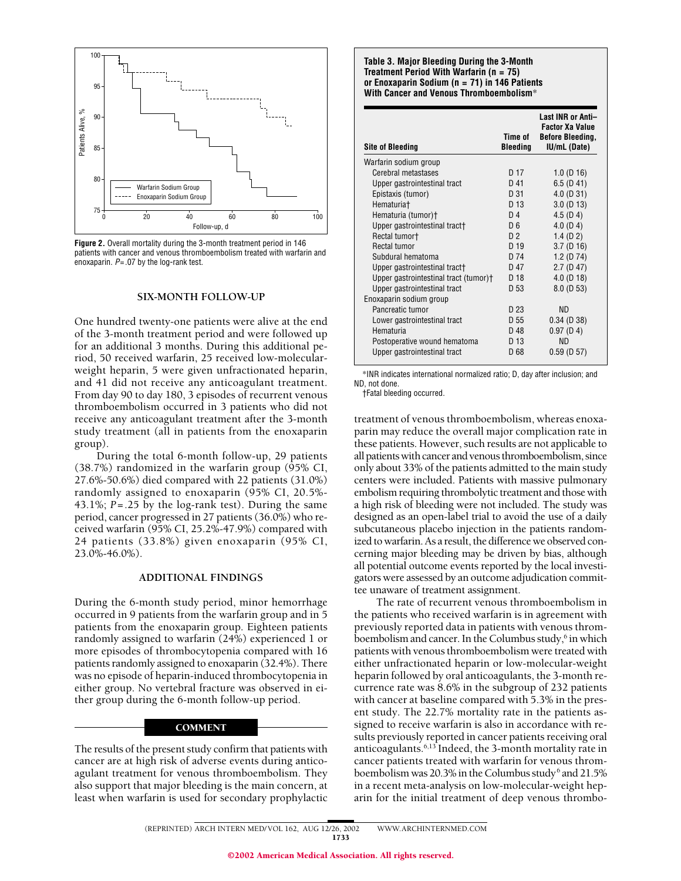

**Figure 2.** Overall mortality during the 3-month treatment period in 146 patients with cancer and venous thromboembolism treated with warfarin and enoxaparin. *P*=.07 by the log-rank test.

### **SIX-MONTH FOLLOW-UP**

One hundred twenty-one patients were alive at the end of the 3-month treatment period and were followed up for an additional 3 months. During this additional period, 50 received warfarin, 25 received low-molecularweight heparin, 5 were given unfractionated heparin, and 41 did not receive any anticoagulant treatment. From day 90 to day 180, 3 episodes of recurrent venous thromboembolism occurred in 3 patients who did not receive any anticoagulant treatment after the 3-month study treatment (all in patients from the enoxaparin group).

During the total 6-month follow-up, 29 patients (38.7%) randomized in the warfarin group (95% CI, 27.6%-50.6%) died compared with 22 patients (31.0%) randomly assigned to enoxaparin (95% CI, 20.5%- 43.1%; *P*=.25 by the log-rank test). During the same period, cancer progressed in 27 patients (36.0%) who received warfarin (95% CI, 25.2%-47.9%) compared with 24 patients (33.8%) given enoxaparin (95% CI, 23.0%-46.0%).

#### **ADDITIONAL FINDINGS**

During the 6-month study period, minor hemorrhage occurred in 9 patients from the warfarin group and in 5 patients from the enoxaparin group. Eighteen patients randomly assigned to warfarin (24%) experienced 1 or more episodes of thrombocytopenia compared with 16 patients randomly assigned to enoxaparin (32.4%). There was no episode of heparin-induced thrombocytopenia in either group. No vertebral fracture was observed in either group during the 6-month follow-up period.

## COMMENT

The results of the present study confirm that patients with cancer are at high risk of adverse events during anticoagulant treatment for venous thromboembolism. They also support that major bleeding is the main concern, at least when warfarin is used for secondary prophylactic

#### **Table 3. Major Bleeding During the 3-Month Treatment Period With Warfarin (n = 75) or Enoxaparin Sodium (n = 71) in 146 Patients With Cancer and Venous Thromboembolism**\*

| <b>Site of Bleeding</b>               | Time of<br><b>Bleeding</b> | Last INR or Anti-<br><b>Factor Xa Value</b><br><b>Before Bleeding,</b><br><b>IU/mL (Date)</b> |
|---------------------------------------|----------------------------|-----------------------------------------------------------------------------------------------|
| Warfarin sodium group                 |                            |                                                                                               |
| Cerebral metastases                   | D 17                       | $1.0$ (D 16)                                                                                  |
| Upper gastrointestinal tract          | D 41                       | 6.5(D41)                                                                                      |
| Epistaxis (tumor)                     | D 31                       | 4.0(D31)                                                                                      |
| Hematuria <sup>+</sup>                | D 13                       | 3.0(D13)                                                                                      |
| Hematuria (tumor)+                    | D 4                        | 4.5 $(D 4)$                                                                                   |
| Upper gastrointestinal tract†         | D 6.                       | 4.0 $(D 4)$                                                                                   |
| Rectal tumort                         | D <sub>2</sub>             | 1.4(D2)                                                                                       |
| Rectal tumor                          | D 19                       | 3.7(D16)                                                                                      |
| Subdural hematoma                     | D 74                       | 1.2(D74)                                                                                      |
| Upper gastrointestinal tract†         | D 47                       | 2.7(D47)                                                                                      |
| Upper gastrointestinal tract (tumor)+ | D 18                       | $4.0$ (D 18)                                                                                  |
| Upper gastrointestinal tract          | D 53                       | 8.0(D53)                                                                                      |
| Enoxaparin sodium group               |                            |                                                                                               |
| Pancreatic tumor                      | D 23                       | ND.                                                                                           |
| Lower gastrointestinal tract          | D 55                       | $0.34$ (D $38$ )                                                                              |
| Hematuria                             | D 48                       | $0.97$ (D 4)                                                                                  |
| Postoperative wound hematoma          | D 13                       | ND.                                                                                           |
| Upper gastrointestinal tract          | D 68                       | $0.59$ (D 57)                                                                                 |

\*INR indicates international normalized ratio; D, day after inclusion; and ND, not done.

†Fatal bleeding occurred.

treatment of venous thromboembolism, whereas enoxaparin may reduce the overall major complication rate in these patients. However, such results are not applicable to all patients with cancer and venous thromboembolism, since only about 33% of the patients admitted to the main study centers were included. Patients with massive pulmonary embolism requiring thrombolytic treatment and those with a high risk of bleeding were not included. The study was designed as an open-label trial to avoid the use of a daily subcutaneous placebo injection in the patients randomized to warfarin. As a result, the difference we observed concerning major bleeding may be driven by bias, although all potential outcome events reported by the local investigators were assessed by an outcome adjudication committee unaware of treatment assignment.

The rate of recurrent venous thromboembolism in the patients who received warfarin is in agreement with previously reported data in patients with venous thromboembolism and cancer. In the Columbus study, $6$  in which patients with venous thromboembolism were treated with either unfractionated heparin or low-molecular-weight heparin followed by oral anticoagulants, the 3-month recurrence rate was 8.6% in the subgroup of 232 patients with cancer at baseline compared with 5.3% in the present study. The 22.7% mortality rate in the patients assigned to receive warfarin is also in accordance with results previously reported in cancer patients receiving oral anticoagulants.6,13 Indeed, the 3-month mortality rate in cancer patients treated with warfarin for venous thromboembolism was 20.3% in the Columbus study<sup>6</sup> and 21.5% in a recent meta-analysis on low-molecular-weight heparin for the initial treatment of deep venous thrombo-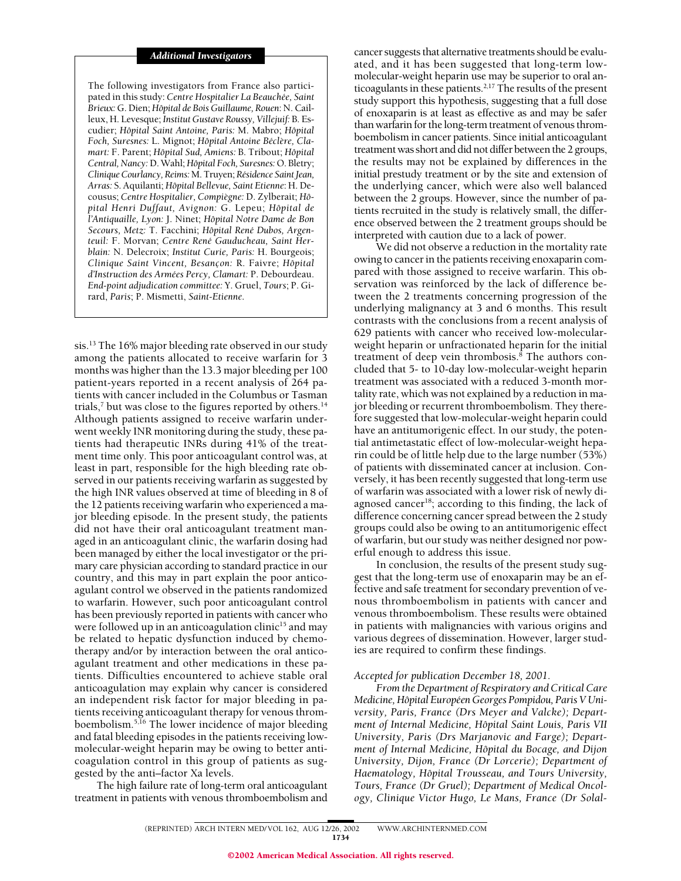#### *Additional Investigators*

The following investigators from France also participated in this study: *Centre Hospitalier La Beauche´e, Saint Brieux:* G. Dien;*Hoˆpital de Bois Guillaume, Rouen*: N. Cailleux, H. Levesque; *Institut Gustave Roussy, Villejuif:* B. Escudier; *Hoˆpital Saint Antoine, Paris:* M. Mabro; *Hoˆpital* Foch, Suresnes: L. Mignot; *Hôpital Antoine Béclère*, Cla*mart:* F. Parent; *Hoˆpital Sud, Amiens:* B. Tribout; *Hoˆpital Central, Nancy:* D. Wahl;*Hoˆpital Foch, Suresnes:* O. Bletry; *Clinique Courlancy, Reims:* M. Truyen; *Re´sidence Saint Jean, Arras:* S. Aquilanti; *Hoˆpital Bellevue, Saint Etienne*: H. Decousus; *Centre Hospitalier, Compie`gne:* D. Zylberait; *Hoˆpital Henri Duffaut, Avignon:* G. Lepeu; *Hoˆpital de l'Antiquaille, Lyon:* J. Ninet; *Hoˆpital Notre Dame de Bon* Secours, Metz: T. Facchini; Hôpital René Dubos, Argen*teuil:* F. Morvan; *Centre Rene´ Gauducheau, Saint Herblain:* N. Delecroix; *Institut Curie, Paris:* H. Bourgeois; *Clinique Saint Vincent, Besanc¸on:* R. Faivre; *Hoˆpital d'Instruction des Arme´es Percy, Clamart:* P. Debourdeau. *End-point adjudication committee:* Y. Gruel, *Tours*; P. Girard, *Paris*; P. Mismetti, *Saint-Etienne*.

sis.<sup>13</sup> The 16% major bleeding rate observed in our study among the patients allocated to receive warfarin for 3 months was higher than the 13.3 major bleeding per 100 patient-years reported in a recent analysis of 264 patients with cancer included in the Columbus or Tasman trials,<sup>7</sup> but was close to the figures reported by others.<sup>14</sup> Although patients assigned to receive warfarin underwent weekly INR monitoring during the study, these patients had therapeutic INRs during 41% of the treatment time only. This poor anticoagulant control was, at least in part, responsible for the high bleeding rate observed in our patients receiving warfarin as suggested by the high INR values observed at time of bleeding in 8 of the 12 patients receiving warfarin who experienced a major bleeding episode. In the present study, the patients did not have their oral anticoagulant treatment managed in an anticoagulant clinic, the warfarin dosing had been managed by either the local investigator or the primary care physician according to standard practice in our country, and this may in part explain the poor anticoagulant control we observed in the patients randomized to warfarin. However, such poor anticoagulant control has been previously reported in patients with cancer who were followed up in an anticoagulation clinic<sup>15</sup> and may be related to hepatic dysfunction induced by chemotherapy and/or by interaction between the oral anticoagulant treatment and other medications in these patients. Difficulties encountered to achieve stable oral anticoagulation may explain why cancer is considered an independent risk factor for major bleeding in patients receiving anticoagulant therapy for venous thromboembolism.5,16 The lower incidence of major bleeding and fatal bleeding episodes in the patients receiving lowmolecular-weight heparin may be owing to better anticoagulation control in this group of patients as suggested by the anti–factor Xa levels.

The high failure rate of long-term oral anticoagulant treatment in patients with venous thromboembolism and cancer suggests that alternative treatments should be evaluated, and it has been suggested that long-term lowmolecular-weight heparin use may be superior to oral anticoagulants in these patients. $2,17$  The results of the present study support this hypothesis, suggesting that a full dose of enoxaparin is at least as effective as and may be safer than warfarin for the long-term treatment of venous thromboembolism in cancer patients. Since initial anticoagulant treatment was short and did not differ between the 2 groups, the results may not be explained by differences in the initial prestudy treatment or by the site and extension of the underlying cancer, which were also well balanced between the 2 groups. However, since the number of patients recruited in the study is relatively small, the difference observed between the 2 treatment groups should be interpreted with caution due to a lack of power.

We did not observe a reduction in the mortality rate owing to cancer in the patients receiving enoxaparin compared with those assigned to receive warfarin. This observation was reinforced by the lack of difference between the 2 treatments concerning progression of the underlying malignancy at 3 and 6 months. This result contrasts with the conclusions from a recent analysis of 629 patients with cancer who received low-molecularweight heparin or unfractionated heparin for the initial treatment of deep vein thrombosis. $\frac{8}{3}$  The authors concluded that 5- to 10-day low-molecular-weight heparin treatment was associated with a reduced 3-month mortality rate, which was not explained by a reduction in major bleeding or recurrent thromboembolism. They therefore suggested that low-molecular-weight heparin could have an antitumorigenic effect. In our study, the potential antimetastatic effect of low-molecular-weight heparin could be of little help due to the large number (53%) of patients with disseminated cancer at inclusion. Conversely, it has been recently suggested that long-term use of warfarin was associated with a lower risk of newly diagnosed cancer<sup>18</sup>; according to this finding, the lack of difference concerning cancer spread between the 2 study groups could also be owing to an antitumorigenic effect of warfarin, but our study was neither designed nor powerful enough to address this issue.

In conclusion, the results of the present study suggest that the long-term use of enoxaparin may be an effective and safe treatment for secondary prevention of venous thromboembolism in patients with cancer and venous thromboembolism. These results were obtained in patients with malignancies with various origins and various degrees of dissemination. However, larger studies are required to confirm these findings.

#### *Accepted for publication December 18, 2001.*

*From the Department of Respiratory and Critical Care Medicine, Hôpital Européen Georges Pompidou, Paris V University, Paris, France (Drs Meyer and Valcke); Department of Internal Medicine, Hôpital Saint Louis, Paris VII University, Paris (Drs Marjanovic and Farge); Department of Internal Medicine, Hôpital du Bocage, and Dijon University, Dijon, France (Dr Lorcerie); Department of Haematology, Hoˆpital Trousseau, and Tours University, Tours, France (Dr Gruel); Department of Medical Oncology, Clinique Victor Hugo, Le Mans, France (Dr Solal-*